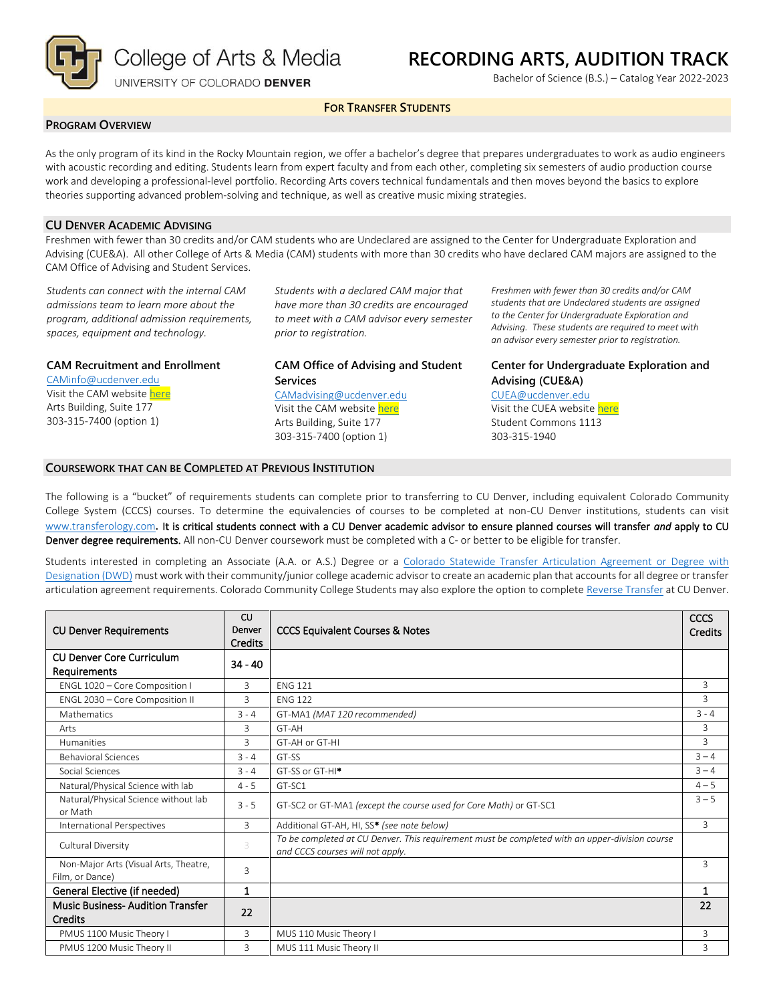

# **RECORDING ARTS, AUDITION TRACK**

Bachelor of Science (B.S.) – Catalog Year 2022-2023

# **FOR TRANSFER STUDENTS**

#### **PROGRAM OVERVIEW**

As the only program of its kind in the Rocky Mountain region, we offer a bachelor's degree that prepares undergraduates to work as audio engineers with acoustic recording and editing. Students learn from expert faculty and from each other, completing six semesters of audio production course work and developing a professional-level portfolio. Recording Arts covers technical fundamentals and then moves beyond the basics to explore theories supporting advanced problem-solving and technique, as well as creative music mixing strategies.

### **CU DENVER ACADEMIC ADVISING**

Freshmen with fewer than 30 credits and/or CAM students who are Undeclared are assigned to the Center for Undergraduate Exploration and Advising (CUE&A). All other College of Arts & Media (CAM) students with more than 30 credits who have declared CAM majors are assigned to the CAM Office of Advising and Student Services.

*Students can connect with the internal CAM admissions team to learn more about the program, additional admission requirements, spaces, equipment and technology.*

**CAM Recruitment and Enrollment**

[CAMinfo@ucdenver.edu](mailto:CAMinfo@ucdenver.edu) Visit the CAM websit[e here](https://artsandmedia.ucdenver.edu/prospective-students/prospective-students) Arts Building, Suite 177 303-315-7400 (option 1)

*Students with a declared CAM major that have more than 30 credits are encouraged to meet with a CAM advisor every semester prior to registration.*

# **CAM Office of Advising and Student Services** [CAMadvising@ucdenver.edu](mailto:CAMadvising@ucdenver.edu)

Visit the CAM websit[e here](https://artsandmedia.ucdenver.edu/current-students/about-academic-advising) Arts Building, Suite 177 303-315-7400 (option 1)

*Freshmen with fewer than 30 credits and/or CAM students that are Undeclared students are assigned to the Center for Undergraduate Exploration and Advising. These students are required to meet with an advisor every semester prior to registration.*

# **Center for Undergraduate Exploration and Advising (CUE&A)**

[CUEA@ucdenver.edu](mailto:CUEA@ucdenver.edu) Visit the CUEA websit[e here](https://www.ucdenver.edu/center-for-undergraduate-exploration-and-advising) Student Commons 1113 303-315-1940

#### **COURSEWORK THAT CAN BE COMPLETED AT PREVIOUS INSTITUTION**

The following is a "bucket" of requirements students can complete prior to transferring to CU Denver, including equivalent Colorado Community College System (CCCS) courses. To determine the equivalencies of courses to be completed at non-CU Denver institutions, students can visit [www.transferology.com](http://www.transferology.com/)**.** It is critical students connect with a CU Denver academic advisor to ensure planned courses will transfer *and* apply to CU Denver degree requirements. All non-CU Denver coursework must be completed with a C- or better to be eligible for transfer.

Students interested in completing an Associate (A.A. or A.S.) Degree or a [Colorado Statewide Transfer Articulation Agreement or Degree with](https://highered.colorado.gov/Academics/Transfers/TransferDegrees.html)  [Designation \(DWD\)](https://highered.colorado.gov/Academics/Transfers/TransferDegrees.html) must work with their community/junior college academic advisor to create an academic plan that accounts for all degree or transfer articulation agreement requirements. Colorado Community College Students may also explore the option to complet[e Reverse Transfer](https://degreewithinreach.wordpress.com/) at CU Denver.

| <b>CU Denver Requirements</b>                            | <b>CU</b><br>Denver<br><b>Credits</b> | <b>CCCS Equivalent Courses &amp; Notes</b>                                                                                         | <b>CCCS</b><br><b>Credits</b> |
|----------------------------------------------------------|---------------------------------------|------------------------------------------------------------------------------------------------------------------------------------|-------------------------------|
| <b>CU Denver Core Curriculum</b><br>Requirements         | $34 - 40$                             |                                                                                                                                    |                               |
| ENGL 1020 - Core Composition I                           | 3                                     | <b>FNG 121</b>                                                                                                                     | 3                             |
| ENGL 2030 - Core Composition II                          | 3                                     | <b>FNG 122</b>                                                                                                                     | 3                             |
| <b>Mathematics</b>                                       | $3 - 4$                               | GT-MA1 (MAT 120 recommended)                                                                                                       | $3 - 4$                       |
| Arts                                                     | 3                                     | GT-AH                                                                                                                              | 3                             |
| <b>Humanities</b>                                        | 3                                     | GT-AH or GT-HI                                                                                                                     | 3                             |
| <b>Behavioral Sciences</b>                               | $3 - 4$                               | GT-SS                                                                                                                              | $3 - 4$                       |
| Social Sciences                                          | $3 - 4$                               | GT-SS or GT-HI <sup>*</sup>                                                                                                        | $3 - 4$                       |
| Natural/Physical Science with lab                        | $4 - 5$                               | GT-SC1                                                                                                                             | $4 - 5$                       |
| Natural/Physical Science without lab<br>or Math          | $3 - 5$                               | GT-SC2 or GT-MA1 (except the course used for Core Math) or GT-SC1                                                                  | $3 - 5$                       |
| International Perspectives                               | 3                                     | Additional GT-AH, HI, SS* (see note below)                                                                                         | 3                             |
| Cultural Diversity                                       | 3                                     | To be completed at CU Denver. This requirement must be completed with an upper-division course<br>and CCCS courses will not apply. |                               |
| Non-Major Arts (Visual Arts, Theatre,<br>Film, or Dance) | 3                                     |                                                                                                                                    | 3                             |
| General Elective (if needed)                             | $\mathbf 1$                           |                                                                                                                                    | $\mathbf{1}$                  |
| <b>Music Business-Audition Transfer</b><br>Credits       | 22                                    |                                                                                                                                    | 22                            |
| PMUS 1100 Music Theory I                                 | 3                                     | MUS 110 Music Theory I                                                                                                             | 3                             |
| PMUS 1200 Music Theory II                                | 3                                     | MUS 111 Music Theory II                                                                                                            | 3                             |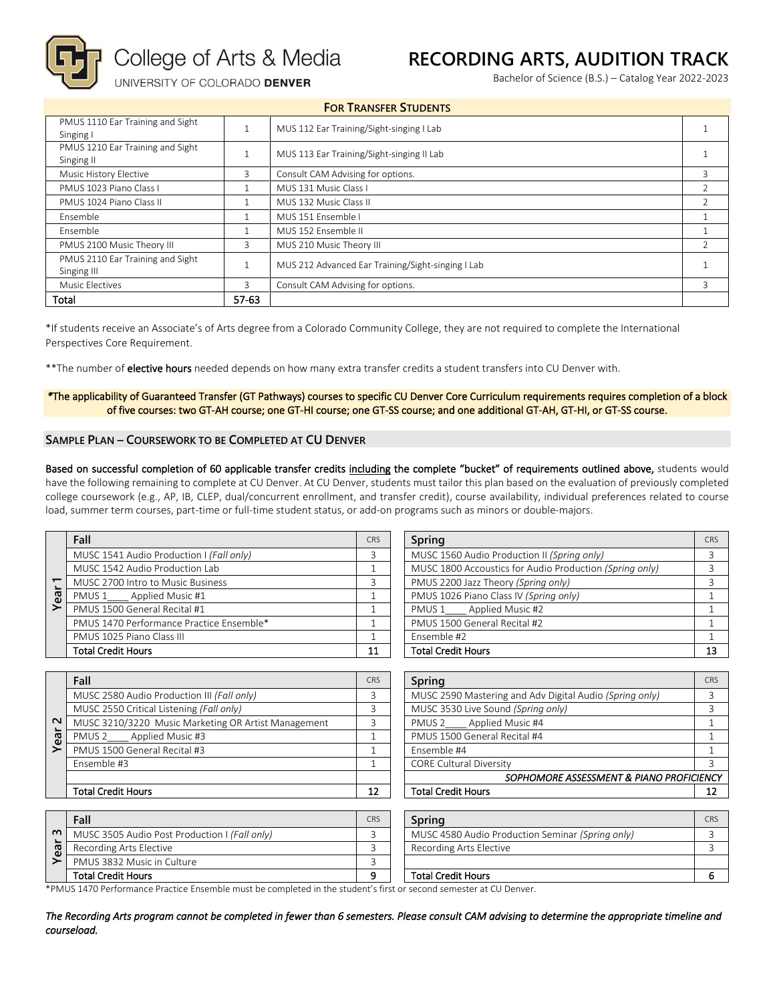

College of Arts & Media

# **RECORDING ARTS, AUDITION TRACK**

Bachelor of Science (B.S.) – Catalog Year 2022-2023

UNIVERSITY OF COLORADO DENVER

| <b>FOR TRANSFER STUDENTS</b>                                                                         |                                        |                                           |                |  |
|------------------------------------------------------------------------------------------------------|----------------------------------------|-------------------------------------------|----------------|--|
| PMUS 1110 Ear Training and Sight<br>Singing I                                                        |                                        | MUS 112 Ear Training/Sight-singing I Lab  |                |  |
| PMUS 1210 Ear Training and Sight<br>Singing II                                                       |                                        | MUS 113 Ear Training/Sight-singing II Lab |                |  |
| Music History Elective                                                                               | 3                                      | Consult CAM Advising for options.         | 3              |  |
| PMUS 1023 Piano Class I                                                                              |                                        | MUS 131 Music Class I                     | $\mathfrak{D}$ |  |
| PMUS 1024 Piano Class II                                                                             |                                        | MUS 132 Music Class II                    |                |  |
| <b>Fnsemble</b>                                                                                      |                                        | MUS 151 Ensemble I                        |                |  |
| Fnsemble                                                                                             |                                        | MUS 152 Ensemble II                       |                |  |
| PMUS 2100 Music Theory III                                                                           | 3                                      | MUS 210 Music Theory III                  | $\mathcal{P}$  |  |
| PMUS 2110 Ear Training and Sight<br>MUS 212 Advanced Ear Training/Sight-singing I Lab<br>Singing III |                                        |                                           |                |  |
| Music Electives                                                                                      | Consult CAM Advising for options.<br>3 |                                           | $\mathbf{R}$   |  |
| Total<br>57-63                                                                                       |                                        |                                           |                |  |

\*If students receive an Associate's of Arts degree from a Colorado Community College, they are not required to complete the International Perspectives Core Requirement.

\*\*The number of elective hours needed depends on how many extra transfer credits a student transfers into CU Denver with.

#### *\**The applicability of Guaranteed Transfer (GT Pathways) courses to specific CU Denver Core Curriculum requirements requires completion of a block of five courses: two GT-AH course; one GT-HI course; one GT-SS course; and one additional GT-AH, GT-HI, or GT-SS course.

### **SAMPLE PLAN – COURSEWORK TO BE COMPLETED AT CU DENVER**

Based on successful completion of 60 applicable transfer credits including the complete "bucket" of requirements outlined above, students would have the following remaining to complete at CU Denver. At CU Denver, students must tailor this plan based on the evaluation of previously completed college coursework (e.g., AP, IB, CLEP, dual/concurrent enrollment, and transfer credit), course availability, individual preferences related to course load, summer term courses, part-time or full-time student status, or add-on programs such as minors or double-majors.

| Year | Fall                                     |  |  |  |
|------|------------------------------------------|--|--|--|
|      | MUSC 1541 Audio Production I (Fall only) |  |  |  |
|      | MUSC 1542 Audio Production Lab           |  |  |  |
|      | MUSC 2700 Intro to Music Business        |  |  |  |
|      | PMUS 1 Applied Music #1                  |  |  |  |
|      | PMUS 1500 General Recital #1             |  |  |  |
|      | PMUS 1470 Performance Practice Ensemble* |  |  |  |
|      | PMUS 1025 Piano Class III                |  |  |  |
|      | <b>Total Credit Hours</b>                |  |  |  |

| Fall                                     | <b>CRS</b> | Spring                                                  | CRS |
|------------------------------------------|------------|---------------------------------------------------------|-----|
| MUSC 1541 Audio Production I (Fall only) |            | MUSC 1560 Audio Production II (Spring only)             |     |
| MUSC 1542 Audio Production Lab           |            | MUSC 1800 Accoustics for Audio Production (Spring only) |     |
| MUSC 2700 Intro to Music Business        |            | PMUS 2200 Jazz Theory (Spring only)                     |     |
| PMUS 1____ Applied Music #1              |            | PMUS 1026 Piano Class IV (Spring only)                  |     |
| PMUS 1500 General Recital #1             |            | PMUS 1_____ Applied Music #2                            |     |
| PMUS 1470 Performance Practice Ensemble* |            | PMUS 1500 General Recital #2                            |     |
| PMUS 1025 Piano Class III                |            | Ensemble #2                                             |     |
| Total Credit Hours                       | 11         | <b>Total Credit Hours</b>                               | 13  |

| $\sim$<br>Year | Fall                                                |  |  |  |
|----------------|-----------------------------------------------------|--|--|--|
|                | MUSC 2580 Audio Production III (Fall only)          |  |  |  |
|                | MUSC 2550 Critical Listening (Fall only)            |  |  |  |
|                | MUSC 3210/3220 Music Marketing OR Artist Management |  |  |  |
|                | Applied Music #3<br>PMUS <sub>2</sub>               |  |  |  |
|                | PMUS 1500 General Recital #3                        |  |  |  |
|                | Ensemble #3                                         |  |  |  |
|                |                                                     |  |  |  |
|                | <b>Total Credit Hours</b>                           |  |  |  |

| Fall                                                | <b>CRS</b> | Spring                                                  | CRS |
|-----------------------------------------------------|------------|---------------------------------------------------------|-----|
| MUSC 2580 Audio Production III (Fall only)          |            | MUSC 2590 Mastering and Adv Digital Audio (Spring only) |     |
| MUSC 2550 Critical Listening (Fall only)            |            | MUSC 3530 Live Sound (Spring only)                      |     |
| MUSC 3210/3220 Music Marketing OR Artist Management |            | Applied Music #4<br>PMUS 2                              |     |
| PMUS 2 Applied Music #3                             |            | PMUS 1500 General Recital #4                            |     |
| PMUS 1500 General Recital #3                        |            | Ensemble #4                                             |     |
| Ensemble #3                                         |            | <b>CORE Cultural Diversity</b>                          |     |
|                                                     |            | SOPHOMORE ASSESSMENT & PIANO PROFICIENCY                |     |
| Total Credit Hours                                  | 12         | <b>Total Credit Hours</b>                               |     |

|          | Fall                                          | <b>CRS</b> | Spring                                           | CR |
|----------|-----------------------------------------------|------------|--------------------------------------------------|----|
| $\sim$   | MUSC 3505 Audio Post Production I (Fall only) |            | MUSC 4580 Audio Production Seminar (Spring only) |    |
| <u>ജ</u> | Recording Arts Elective                       |            | Recording Arts Elective                          |    |
|          | PMUS 3832 Music in Culture                    |            |                                                  |    |
|          | <b>Total Credit Hours</b>                     |            | <b>Total Credit Hours</b>                        |    |

\*PMUS 1470 Performance Practice Ensemble must be completed in the student's first or second semester at CU Denver.

*The Recording Arts program cannot be completed in fewer than 6 semesters. Please consult CAM advising to determine the appropriate timeline and courseload.*